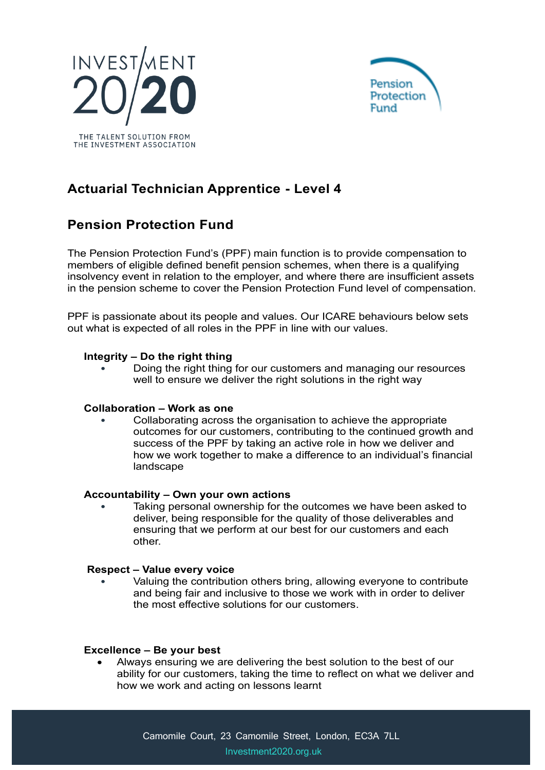



# **Actuarial Technician Apprentice - Level 4**

## **Pension Protection Fund**

The Pension Protection Fund's (PPF) main function is to provide compensation to members of eligible defined benefit pension schemes, when there is a qualifying insolvency event in relation to the employer, and where there are insufficient assets in the pension scheme to cover the Pension Protection Fund level of compensation.

PPF is passionate about its people and values. Our ICARE behaviours below sets out what is expected of all roles in the PPF in line with our values.

### **Integrity – Do the right thing**

• Doing the right thing for our customers and managing our resources well to ensure we deliver the right solutions in the right way

### **Collaboration – Work as one**

• Collaborating across the organisation to achieve the appropriate outcomes for our customers, contributing to the continued growth and success of the PPF by taking an active role in how we deliver and how we work together to make a difference to an individual's financial landscape

### **Accountability – Own your own actions**

Taking personal ownership for the outcomes we have been asked to deliver, being responsible for the quality of those deliverables and ensuring that we perform at our best for our customers and each other.

#### **Respect – Value every voice**

• Valuing the contribution others bring, allowing everyone to contribute and being fair and inclusive to those we work with in order to deliver the most effective solutions for our customers.

### **Excellence – Be your best**

• Always ensuring we are delivering the best solution to the best of our ability for our customers, taking the time to reflect on what we deliver and how we work and acting on lessons learnt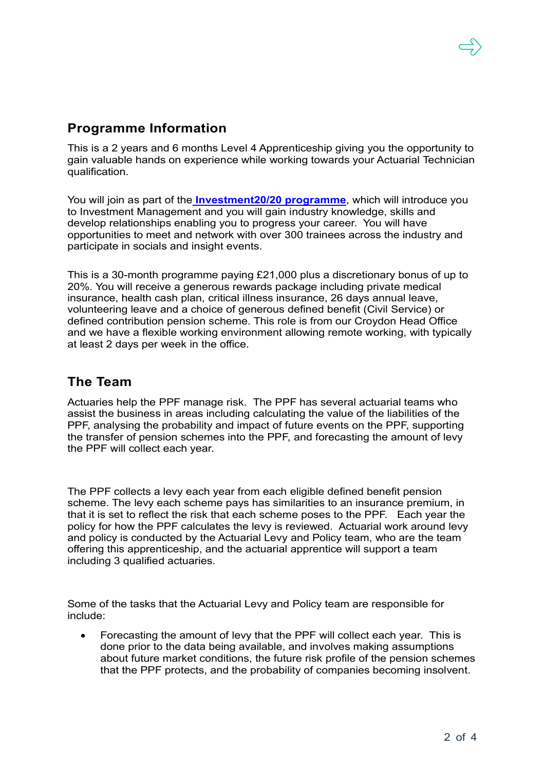### **Programme Information**

This is a 2 years and 6 months Level 4 Apprenticeship giving you the opportunity to gain valuable hands on experience while working towards your Actuarial Technician qualification.

You will join as part of the **[Investment20/20 programme](https://www.investment2020.org.uk/)**, which will introduce you to Investment Management and you will gain industry knowledge, skills and develop relationships enabling you to progress your career. You will have opportunities to meet and network with over 300 trainees across the industry and participate in socials and insight events.

This is a 30-month programme paying £21,000 plus a discretionary bonus of up to 20%. You will receive a generous rewards package including private medical insurance, health cash plan, critical illness insurance, 26 days annual leave, volunteering leave and a choice of generous defined benefit (Civil Service) or defined contribution pension scheme. This role is from our Croydon Head Office and we have a flexible working environment allowing remote working, with typically at least 2 days per week in the office.

### **The Team**

Actuaries help the PPF manage risk. The PPF has several actuarial teams who assist the business in areas including calculating the value of the liabilities of the PPF, analysing the probability and impact of future events on the PPF, supporting the transfer of pension schemes into the PPF, and forecasting the amount of levy the PPF will collect each year.

The PPF collects a levy each year from each eligible defined benefit pension scheme. The levy each scheme pays has similarities to an insurance premium, in that it is set to reflect the risk that each scheme poses to the PPF. Each year the policy for how the PPF calculates the levy is reviewed. Actuarial work around levy and policy is conducted by the Actuarial Levy and Policy team, who are the team offering this apprenticeship, and the actuarial apprentice will support a team including 3 qualified actuaries.

Some of the tasks that the Actuarial Levy and Policy team are responsible for include:

• Forecasting the amount of levy that the PPF will collect each year. This is done prior to the data being available, and involves making assumptions about future market conditions, the future risk profile of the pension schemes that the PPF protects, and the probability of companies becoming insolvent.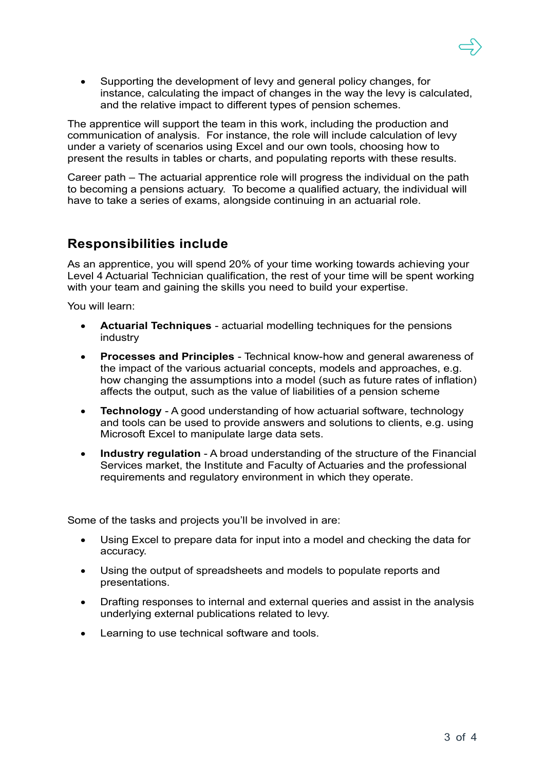• Supporting the development of levy and general policy changes, for instance, calculating the impact of changes in the way the levy is calculated, and the relative impact to different types of pension schemes.

The apprentice will support the team in this work, including the production and communication of analysis. For instance, the role will include calculation of levy under a variety of scenarios using Excel and our own tools, choosing how to present the results in tables or charts, and populating reports with these results.

Career path – The actuarial apprentice role will progress the individual on the path to becoming a pensions actuary. To become a qualified actuary, the individual will have to take a series of exams, alongside continuing in an actuarial role.

### **Responsibilities include**

As an apprentice, you will spend 20% of your time working towards achieving your Level 4 Actuarial Technician qualification, the rest of your time will be spent working with your team and gaining the skills you need to build your expertise.

You will learn:

- **Actuarial Techniques** actuarial modelling techniques for the pensions industry
- **Processes and Principles** Technical know-how and general awareness of the impact of the various actuarial concepts, models and approaches, e.g. how changing the assumptions into a model (such as future rates of inflation) affects the output, such as the value of liabilities of a pension scheme
- **Technology**  A good understanding of how actuarial software, technology and tools can be used to provide answers and solutions to clients, e.g. using Microsoft Excel to manipulate large data sets.
- **Industry regulation** A broad understanding of the structure of the Financial Services market, the Institute and Faculty of Actuaries and the professional requirements and regulatory environment in which they operate.

Some of the tasks and projects you'll be involved in are:

- Using Excel to prepare data for input into a model and checking the data for accuracy.
- Using the output of spreadsheets and models to populate reports and presentations.
- Drafting responses to internal and external queries and assist in the analysis underlying external publications related to levy.
- Learning to use technical software and tools.